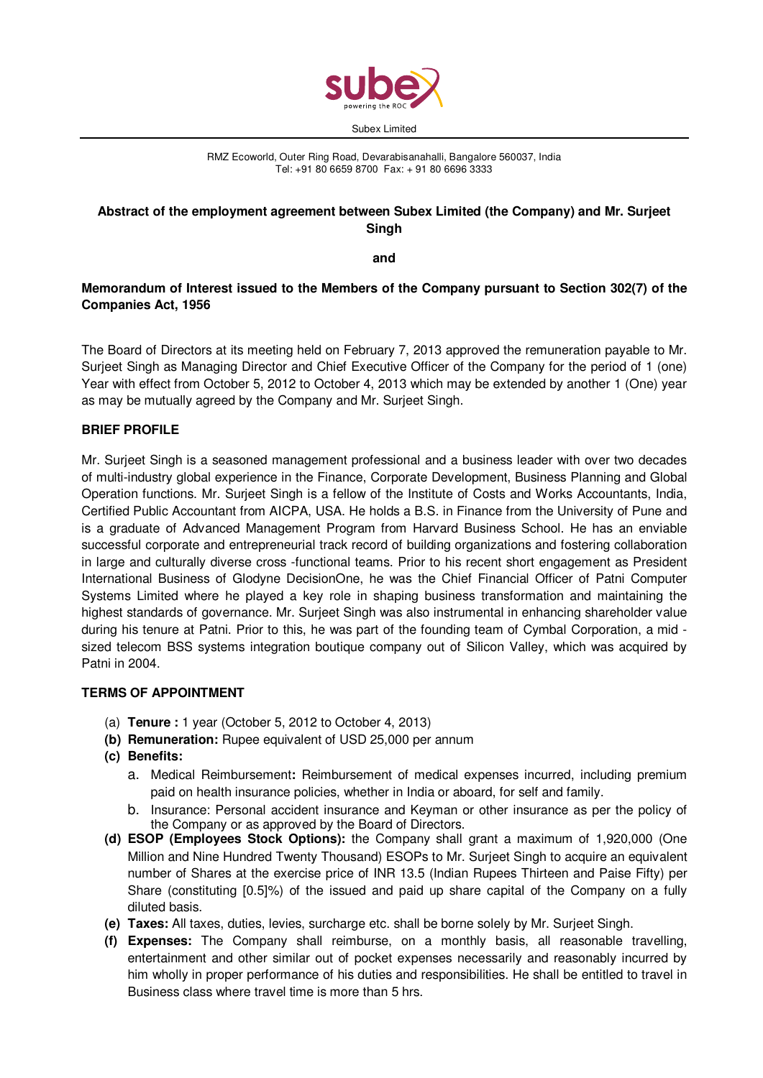

RMZ Ecoworld, Outer Ring Road, Devarabisanahalli, Bangalore 560037, India Tel: +91 80 6659 8700 Fax: + 91 80 6696 3333

# **Abstract of the employment agreement between Subex Limited (the Company) and Mr. Surjeet Singh**

**and** 

# **Memorandum of Interest issued to the Members of the Company pursuant to Section 302(7) of the Companies Act, 1956**

The Board of Directors at its meeting held on February 7, 2013 approved the remuneration payable to Mr. Surjeet Singh as Managing Director and Chief Executive Officer of the Company for the period of 1 (one) Year with effect from October 5, 2012 to October 4, 2013 which may be extended by another 1 (One) year as may be mutually agreed by the Company and Mr. Surjeet Singh.

# **BRIEF PROFILE**

Mr. Surjeet Singh is a seasoned management professional and a business leader with over two decades of multi-industry global experience in the Finance, Corporate Development, Business Planning and Global Operation functions. Mr. Surjeet Singh is a fellow of the Institute of Costs and Works Accountants, India, Certified Public Accountant from AICPA, USA. He holds a B.S. in Finance from the University of Pune and is a graduate of Advanced Management Program from Harvard Business School. He has an enviable successful corporate and entrepreneurial track record of building organizations and fostering collaboration in large and culturally diverse cross -functional teams. Prior to his recent short engagement as President International Business of Glodyne DecisionOne, he was the Chief Financial Officer of Patni Computer Systems Limited where he played a key role in shaping business transformation and maintaining the highest standards of governance. Mr. Surjeet Singh was also instrumental in enhancing shareholder value during his tenure at Patni. Prior to this, he was part of the founding team of Cymbal Corporation, a mid sized telecom BSS systems integration boutique company out of Silicon Valley, which was acquired by Patni in 2004.

## **TERMS OF APPOINTMENT**

- (a) **Tenure :** 1 year (October 5, 2012 to October 4, 2013)
- **(b) Remuneration:** Rupee equivalent of USD 25,000 per annum
- **(c) Benefits:** 
	- a. Medical Reimbursement**:** Reimbursement of medical expenses incurred, including premium paid on health insurance policies, whether in India or aboard, for self and family.
	- b. Insurance: Personal accident insurance and Keyman or other insurance as per the policy of the Company or as approved by the Board of Directors.
- **(d) ESOP (Employees Stock Options):** the Company shall grant a maximum of 1,920,000 (One Million and Nine Hundred Twenty Thousand) ESOPs to Mr. Surjeet Singh to acquire an equivalent number of Shares at the exercise price of INR 13.5 (Indian Rupees Thirteen and Paise Fifty) per Share (constituting [0.5]%) of the issued and paid up share capital of the Company on a fully diluted basis.
- **(e) Taxes:** All taxes, duties, levies, surcharge etc. shall be borne solely by Mr. Surjeet Singh.
- **(f) Expenses:** The Company shall reimburse, on a monthly basis, all reasonable travelling, entertainment and other similar out of pocket expenses necessarily and reasonably incurred by him wholly in proper performance of his duties and responsibilities. He shall be entitled to travel in Business class where travel time is more than 5 hrs.